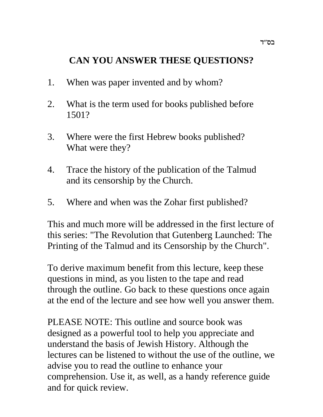# **CAN YOU ANSWER THESE QUESTIONS?**

- 1. When was paper invented and by whom?
- 2. What is the term used for books published before 1501?
- 3. Where were the first Hebrew books published? What were they?
- 4. Trace the history of the publication of the Talmud and its censorship by the Church.
- 5. Where and when was the Zohar first published?

This and much more will be addressed in the first lecture of this series: "The Revolution that Gutenberg Launched: The Printing of the Talmud and its Censorship by the Church".

To derive maximum benefit from this lecture, keep these questions in mind, as you listen to the tape and read through the outline. Go back to these questions once again at the end of the lecture and see how well you answer them.

PLEASE NOTE: This outline and source book was designed as a powerful tool to help you appreciate and understand the basis of Jewish History. Although the lectures can be listened to without the use of the outline, we advise you to read the outline to enhance your comprehension. Use it, as well, as a handy reference guide and for quick review.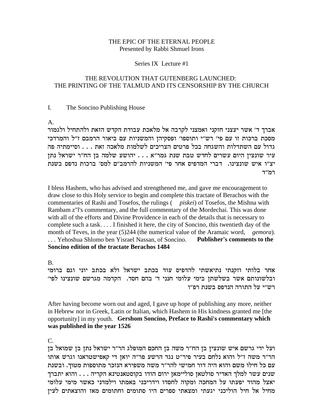### THE EPIC OF THE ETERNAL PEOPLE Presented by Rabbi Shmuel Irons

### Series IX Lecture #1

### THE REVOLUTION THAT GUTENBERG LAUNCHED: THE PRINTING OF THE TALMUD AND ITS CENSORSHIP BY THE CHURCH

#### $\mathbf{I}$ . The Soncino Publishing House

 $A<sub>1</sub>$ 

אברך ד' אשר יעצני חזקני ואמצני לקרבה אל מלאכת עבודת הקדש הזאת ולהתחיל ולגמור מסכת ברכות זו עם פי' רש"י ותוספו' ופסקיהן והמשניות עם ביאור הרמבם ז"ל והמרדכי גדול עם השתדלות והשגחה בכל פרטים הצריכים לשלמות מלאכה זאת . . . וסיימתיה פה עיר שונצין היום עשרים לחדש טבת שנת גמר"א . . . יהושע שלמה בן הח"ר ישראל נתן יצ"ו איש שונצינו. דברי המדפיס אחר פי' המשניות להרמב"ם למס' ברכות נדפס בשנת רמ״ד

I bless Hashem, who has advised and strengthened me, and gave me encouragement to draw close to this Holy service to begin and complete this tractate of Berachos with the commentaries of Rashi and Tosefos, the rulings (*piskei*) of Tosefos, the Mishna with Rambam z"I's commentary, and the full commentary of the Mordechai. This was done with all of the efforts and Divine Providence in each of the details that is necessary to complete such a task.... I finished it here, the city of Soncino, this twentieth day of the month of Teves, in the year  $(5)$ 244 (the numerical value of the Aramaic word, *gemora*). ... Yehoshua Shlomo ben Yisrael Nassan, of Soncino. **Publisher's comments to the** Soncino edition of the tractate Berachos 1484

 $\mathbf{B}$ 

אחר בלותי וזקנתי נתיאשתי להדפיס עוד בכתב ישראל ולא בכתב יוני וגם ברומי ובלשונותם אשר בשלשתן בימי עלומי חנני ד׳ בהם חסד. הקדמה מגרשם שונצינו לפי׳ רש״י על התורה הנדפס בשנת רפ״ו

After having become worn out and aged, I gave up hope of publishing any more, neither in Hebrew nor in Greek, Latin or Italian, which Hashem in His kindness granted me [the opportunity] in my youth. Gershom Soncino, Preface to Rashi's commentary which was published in the year 1526

 $\mathsf{C}$ 

ועל ידי גרשם איש שונצין בן הח"ר משה בן החכם המופלג הר"ר ישראל נתן בן שמואל בן הר"ר משה ז"ל והוא נלחם בעיר פיר"ט נגד הרשע פר"ה יואן די קאפישטראנו וגרש אותו עם כל חילו משם והוא היה דור חמישי להר״ר משה משפירא הנזכר מתוספות מטוך. ובשנת שנים עשר למלך האדיר סולטאן סוליימאן ירום הודו בקוסטאנטינא הקריה . . . . והוא יתברך יאצל מהוד יפעתו על המחכה ומקוה לחסדו וידריכני באמתו וילמדני כאשר מימי עלומי מחיל אל חיל הוליכני יגעתי ומצאתי ספרים היו סתומים וחתומים מאז והוצאתים לעין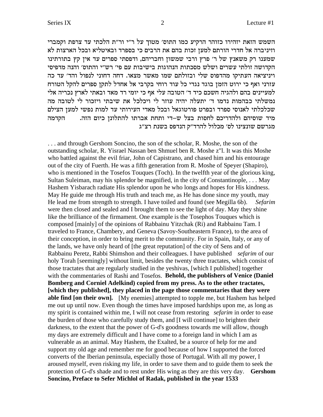השמש הזאת יזהירו כזוהר הרקיע כמו התוס׳ מטוך על ר״י ור״ת הלכתי עד צרפת וקמברי וזיניברה אל חדרי הורתם למען זכות בהם את הרבים כי בספרד ובאיטליא ובכל הארצות לא שמענו רק משאנץ של ר' פרץ ורבי שמשון וחבריהם, ודפסתי ספרים עד אין קץ בתורתינו הקדושה זולתי עשרים ושלש מסכתות הנהוגות בישיבות עם פי׳ רש״י והתוס׳ והנה מדפיסי ויניציאה העתיקו מהדפוס שלי ובזולתם שמו מאשר מצאו. דחה דחוני לנפול והד׳ עד כה עזרני ואף כי ירוט הזמן בוגד נגדי כל עוד רוחי בקרבי אל אחדל לתקן ספרים להקל הטורח למעיינים בהם ולהגיה חשכם כיד ד׳ הטובה עלי אף כי יומי רד מאד ובאתי לארץ נכריה אלי נמשלתי כבהמות נדמו ד׳ יתעלה יהיה עוזר לי ויכלכל את שיבתי ויזכור לי לטובה מה שכלכלתי לאנוסי ספרד ובפרט פורטוגאל ובכל מאדי העירותי עד למות נפשי למען הצילם מיד שוסיהם ולהדריכם לחסות בצל ש–די ותחת אברתו להתלונן כיום הזה.  $\qquad \qquad$ הקדמה מגרשם שונצינו לס׳ מכלול להרד״ק הנדפס בשנת רצ״ג

. . . and through Gershom Soncino, the son of the scholar, R. Moshe, the son of the outstanding scholar, R. Yisrael Nassan ben Shmuel ben R. Moshe z"l. It was this Moshe who battled against the evil friar, John of Capistrano, and chased him and his entourage out of the city of Fuerth. He was a fifth generation from R. Moshe of Speyer (Shapiro), who is mentioned in the Tosefos Touques (Toch). In the twelfth year of the glorious king, Sultan Suleiman, may his splendor be magnified, in the city of Constantinople, . . . May Hashem Yisbarach radiate His splendor upon he who longs and hopes for His kindness. May He guide me through His truth and teach me, as He has done since my youth, may He lead me from strength to strength. I have toiled and found (see Megilla 6b). *Sefarim* were then closed and sealed and I brought them to see the light of day. May they shine like the brilliance of the firmament. One example is the Tosephos Touques which is composed [mainly] of the opinions of Rabbainu Yitzchak (Ri) and Rabbainu Tam. I traveled to France, Chambery, and Geneva (Savoy-Southeastern France), to the area of their conception, in order to bring merit to the community. For in Spain, Italy, or any of the lands, we have only heard of [the great reputation] of the city of Sens and of Rabbainu Peretz, Rabbi Shimshon and their colleagues. I have published *sefarim* of our holy Torah [seemingly] without limit, besides the twenty three tractates, which consist of those tractates that are regularly studied in the yeshivas, [which I published] together with the commentaries of Rashi and Tosefos. **Behold, the publishers of Venice (Daniel Bomberg and Corniel Adelkind) copied from my press. As to the other tractates, [which they published], they placed in the page those commentaries that they were able find [on their own].** [My enemies] attempted to topple me, but Hashem has helped me out up until now. Even though the times have imposed hardships upon me, as long as my spirit is contained within me, I will not cease from restoring *sefarim* in order to ease the burden of those who carefully study them, and [I will continue] to brighten their darkness, to the extent that the power of G-d's goodness towards me will allow, though my days are extremely difficult and I have come to a foreign land in which I am as vulnerable as an animal. May Hashem, the Exalted, be a source of help for me and support my old age and remember me for good because of how I supported the forced converts of the Iberian peninsula, especially those of Portugal. With all my power, I aroused myself, even risking my life, in order to save them and to guide them to seek the protection of G-d's shade and to rest under His wing as they are this very day. **Gershom Soncino, Preface to Sefer Michlol of Radak, published in the year 1533**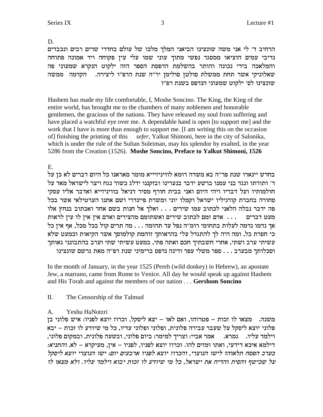D.

הרחיב ד' לי אני משה שונצינו הביאני המלך מלכו של עולם בחדרי שרים רבים ונכבדים נדיבי עמים הוציאו ממסגר נפשי מתוך עוני שמו עלי עין פקוחה ויד אמונה פתוחה והמלאכה בידי נכונה והותר בהשלמת הדפסת הספר הזה ילקוט הנקרא שמעוני פה שאלוניקי אשר תחת ממשלת סולטן סולימן יר"ה שנת הרפ"ו ליצירה. תהקדמה ממשה שונצינו לס׳ ילקוט שמעוני הנדפס בשנת רפ״ו

Hashem has made my life comfortable, I, Moshe Soncino. The King, the King of the entire world, has brought me to the chambers of many noblemen and honorable gentlemen, the gracious of the nations. They have released my soul from suffering and have placed a watchful eye over me. A dependable hand is open [to support me] and the work that I have is more than enough to support me. [I am writing this on the occasion of] finishing the printing of this sefer, Yalkut Shimoni, here in the city of Salonika, which is under the rule of the Sultan Suleiman, may his splendor by exalted, in the year 5286 from the Creation (1526). Moshe Soncino, Preface to Yalkut Shimoni, 1526

## $E_{\rm c}$

בחדש יינארו שנת פר"ה בא משדה רומא לוויניזיייא מומר מאראנו כל היום דברים לא כן על ד' ותורתו ונגד בני עמנו ברשע ידבר בנערינו ובזקננו ידלג כשור נגח ויצר לישראל מאד על חולמותיו ועל דבריו ויהי היום ואני בבית חורף מסיר דניאל בוויניזייא ואדבר אליו עסקי סחורה בחברת קורניליו ישראל וקמלו יוני ומשרת פיינדרי ושם אתנו הערטילאי אשר בכל פה ידבר נבלה הלאני לכתוב עמו שירים . . . ואלך אל חנות בשם אחד ואכתוב בנחץ אלו מעט דברים .... אדם זמם לכתוב שירים ואשתומם מהצירים ואדם אין אין לו עין לראות אך נדמו נדמה לעלות בתחומי רומ"ה נפל עד תהומה . . . מה תרים קול בכל מכל, אף אין כל כי חסרת כל, ומה היה לך להתגדל עלי בהראותך זוהמת קולמוסך אשר הקיאות וכמעט שלא עשיתי ערב ושתי, אחרי חשבתיך חכם ואתה פתי, כמעט עשיתי שתי וערב בהתבונני גאותך וסכלותך מבערב . . . ספר משלי עפר ודינה נדפס ברימיני שנת רפ"ה מאת גרשם שונצינו

In the month of January, in the year 1525 (Pereh (wild donkey) in Hebrew), an apostate Jew, a marrano, came from Rome to Venice. All day he would speak up against Hashem and His Torah and against the members of our nation . . . Gershom Soncino

#### II. The Censorship of the Talmud

#### $A_{1}$ Yeshu HaNotzri

משנה. מצאו לו זכות – פטרוהו, ואם לאו – יצא ליסקל, וכרוז יוצא לפניו: איש פלוני בן פלוני יוצא ליסקל על שעבר עבירה פלונית, ופלוני ופלוני עדיו, כל מי שיודע לו זכות – יבא וילמד עליו. גמרא. אמר אביי: וצריך למימר: ביום פלוני, ובשעה פלונית, ובמקום פלוני, דילמא איכא דידעי, ואתו ומזים להו. וכרוז יוצא לפניו, לפניו – אין, מעיקרא – לא. *והתניא:* בערב הפסח תלאוהו לישו הנוצרי, והכרוז יוצא לפניו ארבעים יום: ישו הנוצרי יוצא ליסקל על שכישף והסית והדיח את ישראל, כל מי שיודע לו זכות יבוא וילמד עליו. ולא מצאו לו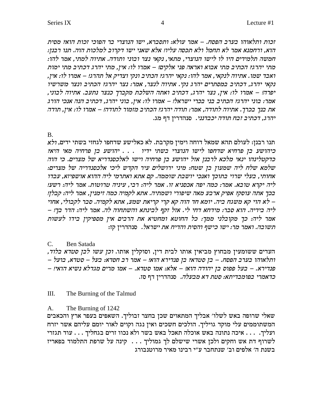זכות ותלאוהו בערב הפסח. – אמר עולא: ותסברא, ישו הנוצרי בר הפוכי זכות הוא? מסית הוא, ורחמנא אמר לא תחמל ולא תכסה עליו! אלא שאני ישו דקרוב למלכות הוה. תנו רבנן: חמשה תלמידים היו לו לישו הנוצרי, מתאי, נקאי נצר ובוני ותודה. אתיוה למתי, אמר להו: מתי יהרג? הכתיב מתי אבוא ואראה פני אלקים! – אמרו לו: אין, מתי יהרג דכתיב מתי ימות ואבד שמו. אתיוה לנקאי, אמר להו: נקאי יהרג? הכתיב ונקי וצדיק אל תהרג! – אמרו לו: אין, נקאי יהרג, דכתיב במסתרים יהרג נקי. אתיוה לנצר, אמר: נצר יהרג? הכתיב ונצר משרשיו יפרה! – אמרו לו: אין, נצר יהרג, דכתיב ואתה השלכת מקברך כנצר נתעב. אתיוה לבוני, אמר: בוני יהרג? הכתיב בני בכרי ישראל! – אמרו לו: אין, בוני יהרג, דכתיב הנה אנכי הורג את בנך בכרך. אתיוה לתודה, אמר: תודה יהרג? הכתיב מזמור לתודה! – אמרו לו: אין, תודה יהרג, דכתיב זבח תודה יכבדנני. סנהדרין דף מג.

### $\mathbf{B}$ .

תנו רבנן: לעולם תהא שמאל דוחה וימין מקרבת. לא כאלישע שדחפו לגחזי בשתי ידים, *ולא* כיהושע בן פרחיה מאי היא? כדקטלינהו ינאי מלכא לרבנן אזל יהושע בן פרחיה וישו לאלכסנדריא של מצרים. כי הוה שלמא שלח ליה שמעון בן שטח: מיני ירושלים עיר הקדש ליכי אלכסנדריה של מצרים: אחותי, בעלי שרוי בתוכך ואנכי יושבת שוממה. קם אתא ואתרמי ליה ההוא אושפיזא, עבדו ליה יקרא טובא. אמר: כמה יפה אכסניא זו. אמר ליה: רבי, עיניה טרוטות. אמר ליה: רשע! בכך אתה עוסק? אפיק ארבע מאה שיפורי ושמתיה. אתא לקמיה כמה זימנין, אמר ליה: קבלן! - לא הוי קא משגח ביה. יומא חד הוה קא קרי קריאת שמע, אתא לקמיה. סבר לקבולי, אחוי ליה בידיה. הוא סבר: מידחא דחי לי. אזל זקף לבינתא והשתחוה לה. אמר ליה: הדר בך! – אמר ליה: כך מקובלני ממך: כל החוטא ומחטיא את הרבים אין מספיקין בידו לעשות .<br>תשובה. ואמר מר: ישו כישף והסית והדיח את ישראל. סנהדרין קזו

#### **Ben Satada**  $C_{\cdot}$

העדים ששומעין מבחוץ מביאין אותו לבית דין, וסוקלין אותו. *וכן עשו לבן סטדא בלוד,* - ותלאוהו בערב הפסח. – בן סטדא? בן פנדירא הוא! – אמר רב חסדא: בעל – סטדא, בועל פנדירא. – בעל פפוס בן יהודה הוא! – אלא: אמו סטדא. – אמו מרים מגדלא נשיא הואי! – כדאמרי בפומבדיתא: סטת דא מבעלה. סנהדרין דף סז.

#### $III.$ The Burning of the Talmud

#### $A<sub>1</sub>$ The Burning of 1242

שאלי שרופה באש לשלו׳ אבליך המתאוים שכן בחצר זבוליך. השאפים בעפר ארץ והכאבים המשתוממים עלי מוקד גויליך. הולכים חשכים ואין נגה וקוים לאור יומם עליהם אשר יזרח ועליך. . . . איכה נתונה באש אוכלה תאכל באש בשר ולא נכוו זרים בגחליך . . . עוד תגזרי לשרוף דת אש וחקים ולכן אשרי שישלם לך גמוליך . . . קינה על שרפת התלמוד בפאריז בשנת ה׳ אלפים וב׳ שנתחבר ע״י רבינו מאיר מרוטנבורג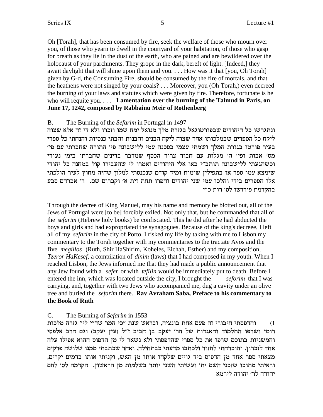Oh [Torah], that has been consumed by fire, seek the welfare of those who mourn over you, of those who yearn to dwell in the courty and of your habitation, of those who gasp for breath as they lie in the dust of the earth, who are pained and are bewildered over the holocaust of your parchments. They grope in the dark, bereft of light. [Indeed,] they await daylight that will shine upon them and you.... How was it that [you, Oh Torah] given by G-d, the Consuming Fire, should be consumed by the fire of mortals, and that the heathens were not singed by your coals? . . . Moreover, you (Oh Torah,) even decreed the burning of your laws and statutes which were given by fire. Therefore, fortunate is he who will requite you.... Lamentation over the burning of the Talmud in Paris, on June 17, 1242, composed by Rabbainu Meir of Rothenberg

#### $B<sub>1</sub>$ The Burning of the *Sefarim* in Portugal in 1497

ונתגרשו כל היהודים שבפורטוגאל בגזרת מלך מנואל ימח שמו וזכרו ולא די זה אלא שצוה ליקח כל הספרים שבמלכותו אחר שצוה ליקח הבנים והבנות והבתי כנסיות והנחתי כל ספרי בעיר פורטו בגזרת המלך ושמתי עצמי בסכנה עמי ללישבונה פי׳ התורה שחברתי עם פי׳ מס׳ אבות ופי׳ ה׳ מגלות עם חבור צרור הכסף שמדבר בדינים שחברתי בימי נעורי וכשהגעתי ללישבונה תותב"י באו אלי היהודים ואמרו לי שהעבירו קול במחנה כל יהודי שימצא עמו ספר או בתפילין שימות ומיד קודם שנכנסתי למלון שהיה מחוץ לעיר הולכתי אלו הספרים בידי והלכו עמי שני יהודים וחפרו תחת זית א׳ וקברום שם. ר׳ אברהם סבע בהקדמת פירושו לס׳ רות כ״י

Through the decree of King Manuel, may his name and memory be blotted out, all of the Jews of Portugal were [to be] forcibly exiled. Not only that, but he commanded that all of the *sefarim* (Hebrew holy books) be confiscated. This he did after he had abducted the boys and girls and had expropriated the synagogues. Because of the king's decreee, I left all of my sefarim in the city of Porto. I risked my life by taking with me to Lisbon my commentary to the Torah together with my commentaries to the tractate Avos and the five *megillos* (Ruth, Shir HaShirim, Koheles, Eichah, Esther) and my composition, *Tzeror HaKesef*, a compilation of *dinim* (laws) that I had composed in my youth. When I reached Lisbon, the Jews informed me that they had made a public announcement that any Jew found with a *sefer* or with *tefilin* would be immediately put to death. Before I entered the inn, which was located outside the city, I brought the seforim that I was carrying, and, together with two Jews who accompanied me, dug a cavity under an olive tree and buried the *sefarim* there. **Ray Avraham Saba, Preface to his commentary to** the Book of Ruth

#### The Burning of Sefarim in 1553  $C_{\cdot}$

והדפסתי חיבורי זה פעם אחת בונציה, ובראש שנת "כי המר שד"י לי" גזרה מלכות  $(1)$ רומי ושרפו התלמוד והאגדות של הר׳ יעקב בן חביב ז״ל (עין יעקב) וגם הרב אלפסי והמשניות בתוכם שרפו את כל ספרי שהדפסתי ולא נשאר לי מן הדפוס ההוא אפילו עלה אחד לזכרון. והוכרחתי לחזור ולכתבו מדעתי כבתחילה. ואחר שכתבתי ממנו שלושה פרקים מצאתי ספר אחד מן הדפוס ביד גויים שלקחו אותו מן האש, וקניתי אותו בדמים יקרים, וראיתי מתוכו שזכני השם ית' ועשיתי השני יותר בשלמות מן הראשון. הקדמה לס' לחם יהודה לר׳ יהודה לירמא